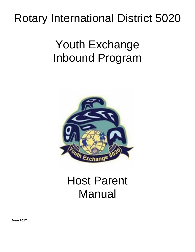# Rotary International District 5020

# Youth Exchange Inbound Program



# Host Parent Manual

**June 2017**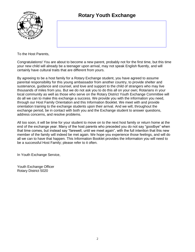

To the Host Parents,

Congratulations! You are about to become a new parent, probably not for the first time, but this time your new child will already be a teenager upon arrival, may not speak English fluently, and will certainly have cultural traits that are different from yours.

By agreeing to be a host family for a Rotary Exchange student, you have agreed to assume parental responsibility for this young ambassador from another country, to provide shelter and sustenance, guidance and counsel, and love and support to the child of strangers who may live thousands of miles from you. But we do not ask you to do this all on your own; Rotarians in your local community as well as those who serve on the Rotary District Youth Exchange Committee will do all we can to make this exchange a success. We provide you with the information you need, through our Host Family Orientation and this Information Booklet. We meet with and provide orientation training to the exchange students upon their arrival. And we will, throughout the exchange period, be in contact with both you and the Exchange student to answer questions, address concerns, and resolve problems.

All too soon, it will be time for your student to move on to the next host family or return home at the end of the exchange year. Many of the host parents who preceded you do not say "goodbye" when that time comes, but instead say "farewell, until we meet again", with the full intention that this new member of the family will indeed be met again. We hope you experience those feelings, and will do all we can to have that happen. This Information Booklet provides the information you will need to be a successful Host Family; please refer to it often.

In Youth Exchange Service,

Youth Exchange Officer Rotary District 5020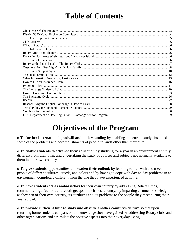# **Table of Contents**

# **Objectives of the Program**

o **To further international goodwill and understanding** by enabling students to study first hand some of the problems and accomplishments of people in lands other than their own.

o **To enable students to advance their education** by studying for a year in an environment entirely different from their own, and undertaking the study of courses and subjects not normally available to them in their own country.

o **To give students opportunities to broaden their outlook** by learning to live with and meet people of different cultures, creeds, and colors and by having to cope with day-to-day problems in an environment completely different from the one they have experienced at home.

o **To have students act as ambassadors** for their own country by addressing Rotary Clubs, community organizations and youth groups in their host country; by imparting as much knowledge as they can of their own country, its attributes and its problems to the people they meet during their year abroad.

o **To provide sufficient time to study and observe another country's culture** so that upon returning home students can pass on the knowledge they have gained by addressing Rotary clubs and other organizations and assimilate the positive aspects into their everyday living.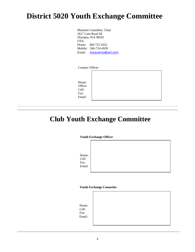# **District 5020 Youth Exchange Committee**

Maureen Considine, Chair 2617 Cain Road SE Olympia, WA 98501 USA Home: 360-725-1652 Mobile: 360-710-4939 Email: meauxmo@aol.com

| Country Officer  |  |
|------------------|--|
|                  |  |
| Home:<br>Office: |  |
| Cell:<br>Fax:    |  |
| Email:           |  |

### **Club Youth Exchange Committee**

#### **Youth Exchange Officer**



#### **Youth Exchange Counselor**

Home: Cell: Fax: Email: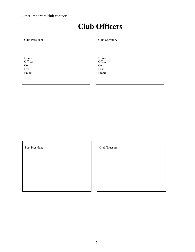Other Important club contacts:

# **Club Officers**

| Club President | Club Secretary |
|----------------|----------------|
| Home:          | Home:          |
| Office:        | Office:        |
| Cell:          | Cell:          |
| Fax:           | Fax:           |
| Email:         | Email:         |

Past President and Club Treasurer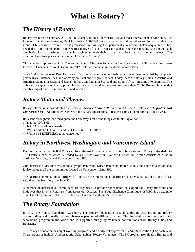# **What is Rotary?**

### *The History of Rotary*

Rotary was born on February 23, 1905 in Chicago, Illinois, the world's first and most international service club. The founder of Rotary was attorney Paul P. Harris (1868-1947), who gathered with three others to discuss his idea of a group of businessmen from different professions getting together periodically to become better acquainted. They decided to limit membership to one representative of each profession and to rotate the meeting site among each member's place of business, to acquaint each other with their various vocations and to promote business. The rotation of meeting places is the source of the name "Rotary".

Club membership grew rapidly. The second Rotary Club was founded in San Francisco in 1908. When clubs were formed in Canada and Great Britain, in 1912, Rotary became an international organization.

Since 1905, the ideas of Paul Harris and his friends have become ideals which have been accepted by people of practically all nationalities, and of many political and religious beliefs. Today there are Rotary Clubs in Austria and American Samoa, in Brazil and Brunei, in Italy and India, in Scotland and South Africa - in some 170 countries. The universal acceptance of Rotary principles has been so great that there are now more than 32,000 Rotary clubs, with a membership of over 1.2 million men and women.

### *Rotary Motto and Themes*

Rotary International has adopted as its motto, "*Service Above Self*". A second theme of Rotary is "*He profits most who serves best*". Additionally, each year, the Rotary International President coins a theme for that Rotary year.

Rotarians throughout the world quote the Four Way Test of the things we think, say or do:

- 1. Is it the TRUTH?
- 2. Is it FAIR to all concerned?
- 3. Will it build GOODWILL and BETTER FRIENDSHIPS?
- 4. Will it be BENEFICIAL to all concerned?

### *Rotary in Northwest Washington and Vancouver Island*

Each of the more than 32,000 Rotary clubs in the world is a member of Rotary International. Rotary is divided into 521 Districts, each of which is headed by a District Governor. We are District 5020 which consists of clubs in northwest Washington and Vancouver Island, BC.

Our District includes the areas on the Olympic Peninsula, Kitsap Peninsula, Pierce County and south into Woodland. It also includes all the communities located on Vancouver Island, BC.

The District Governor, and all officers of Rotary on the international, district or club level, serves for a Rotary fiscal year that runs from July 1 to June 30.

A number of district-level committees are organized to provide sponsorship or support for Rotary functions and initiatives that involve Rotarians from across our District. The Youth Exchange Committee, or YEC, is an example of a District Committee. The YEC is led by Chairman Leighton Mellemstrand.

### *The Rotary Foundation*

In 1917, the Rotary Foundation was born. The Rotary Foundation is a philanthropic trust promoting further understanding and friendly relations between peoples of different nations. The Foundation sponsors the largest scholarship program in the world and is supported purely by voluntary contributions from Rotary Clubs and Rotarians.

The Rotary Foundation has eight working programs and a budget of approximately \$45-\$50 million (US) each year. These programs include Ambassadorial Scholarships, Rotary Volunteers, The 3H program (for Health, Hunger and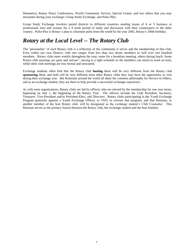Humanity), Rotary Peace Conferences, World Community Service, Special Grants, and two others that you may encounter during your exchange: Group Study Exchange, and Polio-Plus.

Group Study Exchange involves paired districts in different countries sending teams of 4 or 5 business or professional men and women for a 4 week period of study and discussion with their counterparts in the other country. Polio-Plus is Rotary's plan to eliminate polio from the world by the year 2005, Rotary's 100th birthday.

### *Rotary at the Local Level -- The Rotary Club*

The "personality" of each Rotary club is a reflection of the community it serves and the membership of that club. Even within our own District, club size ranges from less than two dozen members to well over two hundred members. Rotary clubs meet weekly throughout the year; some for a breakfast meeting, others during lunch. Some Rotary club meetings are quiet and serious", staying to a tight schedule so the members can return to work on time, while other club meetings are less formal and structured.

Exchange students often find that the Rotary club **hosting** them will be very different from the Rotary club **sponsoring** them, and both will be very different from other Rotary clubs they may have the opportunity to visit during their exchange year. But Rotarians around the world all share the common philosophy for Service to Others, and as an exchange student, they are there to help provide a successful exchange experience.

As with most organizations, Rotary clubs are led by officers who are elected by the membership for one year terms, beginning on July 1, the beginning of the Rotary Year. The officers include the Club President, Secretary, Treasurer, Vice-President and/or President-Elect, and Directors. Rotary clubs participating in the Youth Exchange Program generally appoint a Youth Exchange Officer, or YEO, to oversee that program, and that Rotarian, or another member of the host Rotary club, will be designated as the exchange student's Club Counselor. This Rotarian serves as the primary liaison between the Rotary club, the exchange student and the host families.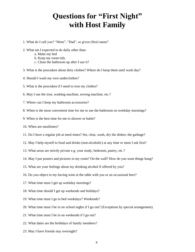# **Questions for "First Night" with Host Family**

- 1. What do I call you? "Mom", "Dad", or given (first) name?
- 2. What am I expected to do daily other than:
	- a. Make my bed
	- b. Keep my room tidy
	- c. Clean the bathroom up after I use it?
- 3. What is the procedure about dirty clothes? Where do I keep them until wash day?
- 4. Should I wash my own underclothes?
- 5. What is the procedure if I need to iron my clothes?
- 6. May I use the iron, washing machine, sewing machine, etc.?
- 7. Where can I keep my bathroom accessories?
- 8. When is the most convenient time for me to use the bathroom on weekday mornings?
- 9. When is the best time for me to shower or bathe?
- 10. When are mealtimes?
- 11. Do I have a regular job at meal times? Set, clear, wash, dry the dishes; the garbage?
- 12. May I help myself to food and drinks (non-alcoholic) at any time or must I ask first?
- 13. What areas are strictly private e.g. your study, bedroom, pantry, etc.?
- 14. May I put posters and pictures in my room? On the wall? How do you want things hung?
- 15. What are your feelings about my drinking alcohol if offered by you?
- 16. Do you object to my having wine at the table with you or an occasional beer?
- 17. What time must I get up weekday mornings?
- 18. What time should I get up weekends and holidays?
- 19. What time must I go to bed weekdays? Weekends?
- 20. What time must I be in on school nights if I go out? (Exceptions by special arrangement).
- 21. What time must I be in on weekends if I go out?
- 22. What dates are the birthdays of family members?
- 23. May I have friends stay overnight?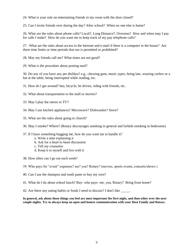24. What is your rule on entertaining friends in my room with the door closed?

25. Can I invite friends over during the day? After school? When no one else is home?

26. What are the rules about phone calls? Local?, Long Distance?, Overseas? How and when may I pay for calls I make? How do you want me to keep track of my pay telephone calls?

27. What are the rules about access to the Internet and e-mail if there is a computer in the house? Are there time limits or time periods that use is permitted or prohibited?

28. May my friends call me? What times are not good?

29. What is the procedure about posting mail?

30. Do any of you have any pet dislikes? e.g.. chewing gum, music types, being late, wearing curlers or a hat at the table, being interrupted while reading, etc.

31. How do I get around? bus, bicycle, be driven, riding with friends, etc.

- 32. What about transportation to the mall or movies?
- 33. May I play the stereo or TV?
- 34. May I use kitchen appliances? Microwave? Dishwasher? Stove?
- 35. What are the rules about going to church?
- 36. May I smoke? Where? (Rotary discourages smoking in general and forbids smoking in bedrooms)
- 37. If I have something bugging me, how do you want me to handle it?
	- a. Write a note explaining it
	- b. Ask for a heart to heart discussion
	- c. Tell my counselor
	- d. Keep it to myself and live with it
- 38. How often can I go out each week?
- 39. Who pays for "event" expenses? me? you? Rotary? (movies, sports events, concerts/shows )
- 40. Can I use the shampoo and tooth paste or buy my own?
- 41. What do I do about school lunch? Buy- who pays- me, you, Rotary? Bring from home?
- 42. Are there any eating habits or foods I need to discuss? I don't like \_\_\_\_\_.

**In general, ask about those things you feel are most important the first night, and then other over the next couple nights. Try to always keep an open and honest communication with your Host Family and Rotary.**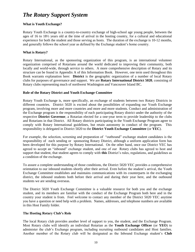### *The Rotary Support System*

#### **What is Youth Exchange?**

Rotary Youth Exchange is a country-to-country exchange of high-school age young people, between the ages of 16 to 18½ years old at the time of arrival in the hosting country, for a cultural and educational experience for both the student and those serving as hosts. The duration of the exchange is 10-12 months, and generally follows the school year as defined by the Exchange student's home country.

#### **What is Rotary?**

Rotary International, as the sponsoring organization of this program, is an international volunteer organization comprised of Rotarians around the world dedicated to improving their community, both locally and world-wide, through service to others. A more comprehensive description of Rotary and its structure can be found in Appendix A of this Information Book. However, one term used throughout this Book warrants explanation here: **District** is the geographic organization of a number of local Rotary clubs for purposes of governance and support. We are **Rotary International District 5020**, consisting of Rotary clubs representing much of northwest Washington and Vancouver Island BC.

#### **Role of the Rotary District and Youth Exchange Committee**

Rotary Youth Exchange is, more specifically, an exchange of students between two Rotary Districts in different countries. District 5020 is excited about the possibilities of expanding our Youth Exchange program, involving more and more countries and more and more students. Conduct and administration of the Exchange program is the responsibility of each participating Rotary district under the authority of the respective **District Governor**, a Rotarian elected for a one-year term to provide leadership to the clubs and Rotarians in that District. All Rotary districts participating in the Youth Exchange Program agree to comply with Rotary International guidelines, but retain autonomy in conduct of the program. This responsibility is delegated in District 5020 to the **District Youth Exchange Committee** (or **YEC**).

For example, the selection, screening and preparation of "outbound" exchange student candidates is the responsibility of each sending or sponsoring Rotary District, although a uniform application form has been developed for this purpose by Rotary International. On the other hand, once our District YEC has agreed to accept an "inbound" exchange student, and one of our Rotary clubs has agreed to host and support that student, that student agrees to comply with **this** District's rules, regulations, and guidelines as a condition of the exchange.

To assure a complete understanding of those conditions, the District 5020 YEC provides a comprehensive orientation to our inbound students shortly after their arrival. Even before the student's arrival, the Youth Exchange Committee establishes and maintains communications with its counterparts in the exchanging district, the inbound students both before their arrival and during their year here, and the outbound students we are sending overseas.

The District 5020 Youth Exchange Committee is a valuable resource for both you and the exchange student, and its members are familiar with the conduct of the Exchange Program both here and in the country your student is from. Feel welcome to contact any member of the District 5020 YEC anytime you have a question or need help with a problem. Names, addresses, and telephone numbers are available in this Host Family folder.

#### **The Hosting Rotary Club's Role**

The local Rotary club provides another level of support to you, the student, and the Exchange Program. Most Rotary clubs will identify an individual Rotarian as the **Youth Exchange Officer** (or **YEO**) to administer the club's Exchange program, including recruiting outbound candidates and Host families. Another member of the Rotary club will be designated as the Inbound Exchange student's **Club**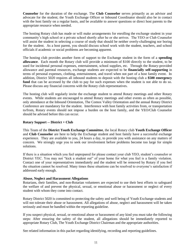**Counselor** for the duration of the exchange. The **Club Counselor** serves primarily as an advisor and advocate for the student; the Youth Exchange Officer or Inbound Coordinator should also be in contact with the host family on a regular basis, and be available to answer questions or direct host parents to the appropriate resource when needed.

The hosting Rotary club has made or will make arrangements for enrolling the exchange student in your community's high school or a private school shortly after he or she arrives. The YEO or Club Counselor will assist the student in selecting a course of study that should be neither overly-challenging nor boring for the student. As a host parent, you should discuss school work with the student, teachers, and school officials if academic or social problems are becoming apparent.

The hosting club provides another form of support to the Exchange student in the form of a **spending allowance**. Each month the Rotary club will provide a minimum of \$100 directly to the student, to be used for incidental personal expenses, entertainment, school supplies, etc. Through the Rotary-provided allowance and parental resources, exchange students are expected to be **financially self-supporting** in terms of personal expenses, clothing, entertainment, and travel when not part of a host family event. In addition, District 5020 requires all inbound students to deposit with the hosting club a **\$500 emergency fund** that can be accessed by the club to pay for such expenses when the student is not able to do so. Please discuss any financial concerns with the Rotary club representatives.

The hosting club will regularly invite the exchange student to attend Rotary meetings and other Rotary events. While students are encouraged to attend Rotary meetings and other events as often as possible, only attendance at the Inbound Orientation, The Comox Valley Orientation and the annual Rotary District Conference are mandatory for the student. Interference with host family activities from, or transportation to/from, Rotary events should not impose a burden on the host family, and the YEO/Club Counselor should be advised before this can occur.

#### **Rotary Support -- District + Club**

This Team of the **District Youth Exchange Committee**, the local Rotary club **Youth Exchange Officer**  and **Club Counselor** are here to help the Exchange student and host family have a successful exchange experience. They are available to you, 24 hours a day, to provide you with assistance on any matters of concern. We strongly urge you to seek our involvement before problems become too large for simple solutions.

If there is a situation which you feel unprepared for please contact your club YEO, student's counselor or District YEC. You may not "kick a student out" of your home for what you feel is a family violation. Contact one of your representatives immediately and the student will be removed by Rotary if you feel the situation cannot be resolved. Many times these situations can be resolved to everyone's satisfaction if addressed early enough.

#### **Abuse, Neglect and Harassment Allegations**

Rotarians, their families, and non-Rotarian volunteers are expected to use their best efforts to safeguard the welfare of and prevent the physical, sexual, or emotional abuse or harassment or neglect of every student with whom they come into contact.

Rotary District 5020 is committed to protecting the safety and well being of Youth Exchange students and will not tolerate their abuse or harassment. All allegations of abuse, neglect and harassment will be taken seriously and must be handled within the reporting guideline.

If you suspect physical, sexual, or emotional abuse or harassment of any kind you must take the following steps: After ensuring the safety of the student, all allegations should be immediately reported to appropriate Rotary Club, The Youth Exchange District Chairman and the appropriate authorities.

See related information in this packet regarding identifying, recording and reporting guidelines.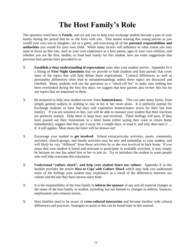# **The Host Family's Role**

The operative word here is *Family*, and we ask you to help your exchange student become a part of your family during the period that he or she lives with you. That means treating this young person as you would your own son or daughter, not as a guest, and exercising all of the **parental responsibilities and authorities** you would for your own child. While many factors will influence to what extent you may need to focus on this role, such as your own experience as a host parent, ages of your own children, and whether you are the first, middle, or final host family for this student, here are some suggestions that previous host parents have provided to us:

- **Establish a clear understanding of expectations** soon after your student arrives. Appendix D is a listing of **First Night Questions** that we provide to both students and host parents that cover most of the topics that will help define those expectations. Cultural differences as well as personality differences often lead to misunderstandings unless these topics are discussed and clarified. Many students will use the questions as a "check-off list" to make sure nothing has been overlooked during the first few days; we suggest that host parents also review this list for any topics that are important to them.
- Be prepared to help your student recover from **homesickness**. This can take many forms, from simply general sadness to wishing to stay in his or her room alone. It is perfectly normal for Exchange students to have bad days and experience homesickness (even for their last host family). If you are sensitive to this, you will be able to reassure your student that their reactions are perfectly normal. Help them to keep busy and involved. These feelings will pass. If they have poured out their frustrations in a letter home (often saying they want to return home immediately), suggest that they put it away for a couple days, re-read it, and only then mail it ... if it still applies. Most times the letter will be thrown out!
- Encourage your student to **get involved**. School extracurricular activities, sports, community activities, church groups, and family activities may be new and unfamiliar to your student, and will likely be very "different" from those activities he or she was involved in back home. If you sense that your student is bored and reluctant to participate in available activities, it may simply be because no one has asked him or her to join in. Try to introduce the student to some people who will help overcome this reluctance.
- **Understand "culture shock", and help your student learn our culture**. Appendix E in this booklet provides the article *How to Cope with Culture Shock* which may help you understand some of the feelings your student may experience as a result of the differences between our culture and the one they have known since birth.
- It is the responsibility of the host family to **inform the sponsor** of any and all material changes in the status of the host family or student, including, but not limited to, changes in address, finances, employment and criminal arrests.
- Host families need to be aware of **cross-cultural interaction** and become familiar with cultural differences and practices. Strategies to assist in this can be found later in this manual.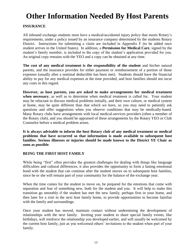# **Other Information Needed By Host Parents**

#### **INSURANCE**

All inbound exchange students must have a medical/accidental injury policy that meets Rotary's requirements, under a policy issued by an insurance company determined by the students Rotary District. Instructions for submitting a claim are included in Appendix F (to be added once student arrives in the United States). In addition, a **Permission for Medical Care**, signed by the student's family member, is included in the copy of the student's application provided for you. An original copy remains with the YEO and a copy can be obtained at any time.

**The cost of any medical treatment is the responsibility of the student** and his/her natural parents, and the insurance provides for either payment or reimbursement of a portion of those expenses (usually after a nominal deductible has been met). Students should have the financial ability to pay for any medical expenses at the time provided, and host families should not incur any costs in this regard.

**However, as host parents, you are asked to make arrangements for medical treatment when necessary**, as well as to determine when medical treatment is called for. Your student may be reluctant to discuss medical problems initially, and their own culture, or medical system at home, may be quite different than that which we have, so you may need to patiently ask questions and offer suggestions when you observe conditions that may be medically-based. Many Rotary clubs have arrangements with local medical-services providers (often a member of the Rotary club), and you should be appraised of these arrangements by the Rotary YEO or Club Counselor before a medical problem arises.

**It is always advisable to inform the host Rotary club of any medical treatment or medical problems that have occurred so that information is made available to subsequent host families. Serious illnesses or injuries should be made known to the District YE Chair as soon as possible**.

#### **BEING THE FIRST HOST FAMILY**

While being "first" often provides the greatest challenges for dealing with things like language difficulties and cultural differences, it also provides the opportunity to form a lasting emotional bond with the student that can continue after the student moves on to subsequent host families, since he or she will remain part of your community for the balance of the exchange year.

When the time comes for the student to move on, be prepared for the emotions that come with separation and fear of something new, both for the student and you. It will help to make this transition go smoothly if the student has met the new family, perhaps first in your home, and then later for a visit in the next host family home, to provide opportunities to become familiar with the family and surroundings.

Once your student has moved, maintain contact without undermining the development of relationships with the next family. Inviting your student to share special family events, like birthdays, will reinforce the relationship you developed earlier, and will usually be welcomed by the current host family, just as you welcomed others' invitations to the student when part of your family.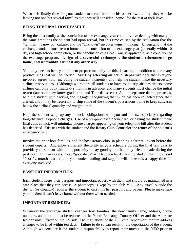When it is finally time for your student to return home to his or her own family, they will be leaving not one but several **families** that they will consider "home" for the rest of their lives.

#### **BEING THE FINAL HOST FAMILY**

Being the host family at the conclusion of the exchange year could involve dealing with many of the same emotions the student had upon arrival, but this time caused by the realization that the "familiar" is now *our* culture, and the "unknown" involves *returning home*. Understand that the exchange student **must** return home at the conclusion of the exchange year (generally within 10 days of high school completion, or the conclusion of a USA Tour, if applicable) as a condition of the exchange program. **A sign of a successful exchange is the student's reluctance to go home, and we wouldn't want it any other way.**

You may need to help your student prepare mentally for this departure, in addition to the many physical aids that will be needed. **Start by selecting an actual departure date** that everyone involved agrees with (including the student's parents), and help the student make the necessary airlines reservations. (Although we require all students to have round-trip airlines tickets, some airlines can only book flights 6-9 months in advance, and many students must change the initial return date once they know graduation and Tour dates, etc.). As the departure date approaches, help the student with packing and luggage, recognizing that much has been collected since their arrival, and it may be necessary to ship some of the student's possessions home to keep suitcases below the airlines' quantity and weight limits.

Help the student wrap up any financial obligations with you and others, especially regarding long-distance telephone charges. Use of a pre-purchased phone card, or having the student make final calls collect, will minimize phone charges appearing on your telephone bill after the student has departed. Discuss with the student and the Rotary Club Counselor the return of the student's emergency fund.

Involve the prior host families, and the host Rotary club, in planning a farewell event before the student departs. And allow sufficient flexibility in your schedule during the final few days to provide your student with the opportunity to say goodbye to the many friends made during the past year. In many cases, these "good-byes" will be even harder for the student than those said 11 or 12 months earlier, and your understanding and support will make this a happy time for everyone involved.

#### **PASSPORT INFORMATION:**

Each student keeps their passport and important papers with them and should be maintained in a safe place that they can access. A photocopy is kept by the club YEO. Any travel outside the district (or Country) requires the student to carry his/her passport and papers. Please make sure your student doesn't leave home without them when needed.

#### **IMPORTANT REMINDER:**

Whenever the exchange student changes host families, the new family name, address, phone numbers, and e-mail must be reported to the Youth Exchange Country Officer and the Alternate Responsible Officer on the US side. The regulations of the US State Department require address changes to be filed within ten days – failure to do so can result in the deportation of the student. Although we consider it the student's responsibility to report their moves to the YEO prior to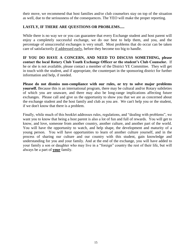their move, we recommend that host families and/or club counselors stay on top of the situation as well, due to the seriousness of the consequences. The YEO will make the proper reporting.

#### **LASTLY, IF THERE ARE QUESTIONS OR PROBLEMS.....**

While there is no way we or you can guarantee that every Exchange student and host parent will enjoy a completely successful exchange, we do our best to help them, and you, and the percentage of unsuccessful exchanges is very small. Most problems that do occur can be taken care of satisfactorily if addressed early, before they become too big to handle.

**IF YOU DO HAVE A CONCERN, AND NEED TO DISCUSS SOMETHING, please contact the local Rotary Club Youth Exchange Officer or the student's Club Counselor.** If he or she is not available, please contact a member of the District YE Committee. They will get in touch with the student, and if appropriate, the counterpart in the sponsoring district for further information and help, if needed.

**Please do not dismiss non-compliance with our rules, or try to solve major problems yourself.** Because this is an international program, there may be cultural and/or Rotary subtleties of which you are unaware, and there may also be long-range implications affecting future exchanges. Please call and give us the opportunity to show you that we are as concerned about the exchange student and the host family and club as you are. We can't help you or the student, if we don't know that there is a problem.

Finally, while much of this booklet addresses rules, regulations, and "dealing with problems", we want you to know that being a host parent is also a lot of fun and full of rewards. You will get to know, and love, someone from another country, another culture, and another part of the world. You will have the opportunity to watch, and help shape, the development and maturity of a young person. You will have opportunities to learn of another culture yourself, and in the process of sharing our culture and our country with this student, gain knowledge and understanding for you and your family. And at the end of the exchange, you will have added to your family a son or daughter who may live in a "foreign" country the rest of their life, but will always be a part of **your** family.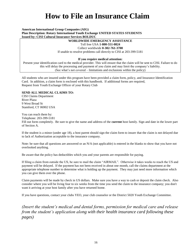# **How to File an Insurance Claim**

**American International Group Companies (AIG) Plan Description: Rotary International Youth Exchange UNITED STATES STUDENTS Issued by: CISI Cultural Insurance Services BOLDUC**

> **WORLDWIDE EMERGENCY ASSISTANCE** Toll free USA **1-800-551-0824** Collect worldwide **0-302-761-3700** If unable to resolve problems call directly to CISI at 203-399-5181

#### **If you require medical attention:**

Present your identification card to the medical provider. This will ensure that the claim will be sent to CISI. Failure to do this will delay the processing and payment of you claim and may limit the company's liability. (See what's not covered – limitations and exclusions within the policy)

All students who are insured under this program have been provided a claim form, policy, and Insurance Identification Card. In addition, a claim form is enclosed with this handbook. If additional forms are required, Request from Youth Exchange Officer of your Rotary Club

#### **SEND ALL MEDICAL CLAIMS TO:**

CISI Claims Department River Plaza 9 West Broad St Stamford, CT 06902 USA

You can reach them by: Telephone: 203-399-5181 Fill out form completely. Be sure to give the name and address of the **current** host family. Sign and date in the lower part of Section A.

If the student is a minor (under age 18), a host parent should sign the claim form to insure that the claim is not delayed due to lack of Authorization acceptable to the insurance company.

Note: be sure that all questions are answered or an N/A (not applicable) is entered in the blanks to show that you have not overlooked anything.

Be aware that the policy has deductibles which you and your parents are responsible for paying.

If filing a claim from outside the US, be sure to mail the claim "AIRMAIL". Otherwise it takes weeks to reach the US and payment will be delayed. If the payment has not been received in about one month, call the claims department at the appropriate telephone number to determine what is holding up the payment. They may just need more information which you can give them over the phone.

Claim payments will be made by check in US dollars. Make sure you have a way to cash or deposit the claim check. Also consider where you will be living four to six weeks from the time you send the claim to the insurance company; you don't want it arriving at your host family after you have returned home.

If you have questions, contact your clubs YEO, your club counselor or the District 5020 Youth Exchange Committee.

*(Insert the student's medical and dental forms, permission for medical care and release from the student's application along with their health insurance card following these pages)*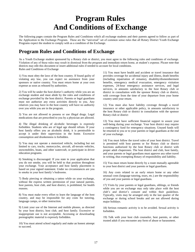# **Program Rules And Conditions of Exchange**

The following pages contain the Program Rules and Conditions which all exchange students and their parents agreed to follow as part of the Application to the Exchange Program. These are the "universal" set of common sense rules that all Rotary District Youth Exchange Programs expect the student to comply with as a condition of the Exchange.

### **Program Rules and Conditions of Exchange**

As a Youth Exchange student sponsored by a Rotary club or district, you must agree to the following rules and conditions of exchange. Violation of any of these rules may result in dismissal from the program and immediate return home, at student's expense. Please note that districts may edit this document or insert additional rules if needed to account for local conditions. Rules and Conditions of Exchange

1) You must obey the laws of the host country. If found guilty of violating any law, you can expect no assistance from your sponsors or native country. You must return home at your own expense as soon as released by authorities.

2) You will be under the host district's authority while you are an exchange student and must abide by the rules and conditions of exchange provided by the host district. Parents or legal guardians must not authorize any extra activities directly to you. Any relatives you may have in the host country will have no authority over you while you are in the program.

3) You are not allowed to possess or use illegal drugs. Legal medications that are prescribed to you by a physician are allowed.

4) The illegal drinking of alcoholic beverages is expressly forbidden. Students who are of legal age should refrain. If your host family offers you an alcoholic drink, it is permissible to accept it under their supervision in the home. Excessive consumption and drunkenness is forbidden.

5) You may not operate a motorized vehicle, including but not limited to cars, trucks, motorcycles, aircraft, all-terrain vehicles, snowmobiles, boats, and other watercraft, or participate in driver education programs.

6) Smoking is discouraged. If you state in your application that you do not smoke, you will be held to that position throughout your exchange. Your acceptance and host family placement is based on your signed statement. Under no circumstances are you to smoke in your host family's bedrooms.

7) Body piercing or obtaining a tattoo while on your exchange, without the express written permission of your natural parents, host parents, host club, and host district, is prohibited, for health reasons.

8) You must make every effort to learn the language of the host country, and may be responsible for any costs for tutoring, language camps, or other instruction.

9) Limit your use of the Internet and mobile phones, as directed by your host district, host club, and host family. Excessive or inappropriate use is not acceptable. Accessing or downloading pornographic material is expressly forbidden.

10) You must attend school regularly and make an honest attempt to succeed.

11) You must have health and accident or travel insurance that provides coverage for accidental injury and illness, death benefits (including repatriation of remains), disability/dismemberment benefits, emergency medical evacuation, emergency visitation expenses, 24-hour emergency assistance services, and legal services, in amounts satisfactory to the host Rotary club or district in consultation with the sponsor Rotary club or district, with coverage from the time of your departure from your home country until your return.

12) You must also have liability coverage through a travel insurance or other applicable policy, in amounts satisfactory to the host Rotary club or district in consultation with the sponsor Rotary club or district

13) You must have sufficient financial support to assure your well-being during your exchange. Your host district may require a contingency fund for emergency situations. Unused funds will be returned to you or to your parents or legal guardians at the end of your exchange.

14) You must follow the travel rules of your host district. Travel is permitted with host parents or for Rotary club or district functions authorized by the host Rotary club or district with proper adult chaperones. The host district and club, host family, and your parents or legal guardians must approve any other travel in writing, thus exempting Rotary of responsibility and liability.

15) You must return home directly by a route mutually agreeable to your host district and your parents or legal guardians.

16) Any costs related to an early return home or any other unusual costs (language tutoring, tours, etc.) are the responsibility of you and your parents or legal guardians.

17) Visits by your parents or legal guardians, siblings, or friends while you are on exchange may only take place with the host club's and district's consent and within their guidelines. Typically, visits may be arranged only in the last quarter of the exchange or during school breaks and are not allowed during major holidays.

18) Serious romantic activity is to be avoided. Sexual activity is forbidden.

19) Talk with your host club counselor, host parents, or other trusted adult if you encounter any form of abuse or harassment.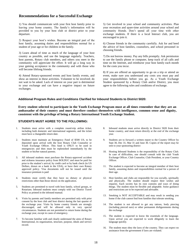#### **Recommendations for a Successful Exchange**

1) You should communicate with your first host family prior to leaving your home country. The family's information will be provided to you by your host club or district prior to your departure.

2) Respect your host's wishes. Become an integral part of the host family, assuming duties and responsibilities normal for a student of your age or for children in the family.

3) Learn ahead of time as much of the language of your host country as possible, and use the language regularly. Teachers, host parents, Rotary club members, and others you meet in the community will appreciate the effort. It will go a long way in your gaining acceptance in the community and with those who will become lifelong friends.

4) Attend Rotary-sponsored events and host family events, and show an interest in these activities. Volunteer to be involved; do not wait to be asked. Lack of interest on your part is detrimental to your exchange and can have a negative impact on future exchanges.

5) Get involved in your school and community activities. Plan your recreation and spare-time activities around your school and community friends. Don't spend all your time with other exchange students. If there is a local Interact club, you are encouraged to join it.

6) Choose friends in the community carefully. Ask for and heed the advice of host families, counselors, and school personnel in choosing friends.

7) Do not borrow money. Pay any bills promptly. Ask permission to use the family phone or computer, keep track of all calls and time on the Internet, and reimburse your host family each month for the costs you incur.

8) If you are offered an opportunity to go on a trip or attend an event, make sure you understand any costs you must pay and your responsibilities before you go. As a Youth Exchange Student sponsored by a Rotary Club and/or District, you must agree to the following rules and conditions of exchange.

#### **Additional Program Rules and Conditions Clarified for Inbound Students to District 5020:**

**Every student selected to participate in the Youth Exchange Program must at all times remember that they are an ambassador of their country and must therefore conduct themselves with intelligence, common sense and dignity, consistent with the privilege of being a Rotary International Youth Exchange Student.**

#### **STUDENTS MUST AGREE TO THE FOLLOWING:**

- 1. Students must arrive with a complete round-trip airline ticket, including both domestic and international segments, and the ticket must have a changeable return date.
- 2. Students must maintain an Emergency Fund of \$500 US, to be deposited upon arrival with the host Rotary Club Counselor or Youth Exchange Officer. This fund is ONLY to be used in emergencies and then must be replenished immediately by the student or his/her natural parents.
- 3. All inbound students must purchase the Rotary-approved accident and sickness insurance policy from BOLDUC and must be paid for prior to the student's arrival, by credit card or by bank check (in US Dollars, drawn on a bank in the USA), or have their own Rotary approved policy. Visa documents will not be issued until the insurance premium is paid
- 4. Students must certify that they have no dietary or physical restrictions other than those shown on the application.
- 5. Students are permitted to travel with host family, school groups, or Rotarians. Inbound students must comply with our District Travel Policy as printed in the inbound manual.
- 6. Visits by parents and family members are permitted only with prior consent by the host club and host district during the last quarter of the exchange year. Visits by home country friends are strongly discouraged, and will be allowed only in very special circumstances. Students are not permitted to return home during the exchange year, except in cases of emergency.
- 7. To become familiar with and clearly understand the aims of Rotary International, its organization, structure, purpose, ideals and service record.
- 8. Inbound students must arrive directly in District 5020 from their home country, and must return directly at the end of the exchange year.
- 9. Students are to forward a written report to the Country Officer by Sept 30, Dec 31, Mar 31 and June 30. Copies of the report may be sent to your sponsoring district
- 10. Hosting Inbound Students is the responsibility of the Rotary Club. In case of difficulties, one should consult with the club Youth Exchange Officer, Club Counselor, Club President, or your Country Officer.
- 11. The student is expected to become an integral member of their host family, assuming duties and responsibilities normal for a person of their age.
- 12. Host families and clubs are responsible for you socially, spiritually and physically. The student should respect their wishes and requests. Each society has its own customs and ways of doing things. The student must be flexible and adaptable. Some guidance and restrictions are to be expected and advisable.
- 13. Smoking is NOT ACCEPTABLE and may result in sending you home if the club cannot find host families that tolerate smoking.
- 14. The student is not allowed to get any tattoos, body piercing (including pierced ears) or other permanent disfigurements during the exchange
- 15. The student is expected to know the essentials of the language. Upon arrival you are expected to work diligently to learn the language quickly.
- 16. The student must obey the laws of the country. They can expect no assistance from the government if laws are violated.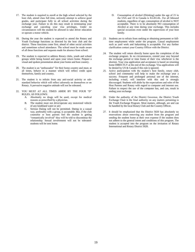- 17. The student is required to enroll at the high school selected by the host club, attend class full time, seriously attempt to achieve good grades, and participate fully in all school activities during the exchange year. Failure to do this may result in terminating your exchange and canceling your visa privileges. Under no circumstances will the student be allowed to take driver education or operate a motor vehicle.
- 18. During the year the student is expected to attend the Rotary and Youth Exchange functions as directed by the host club and the district. These functions come first, ahead of other social activities and sometimes school attendance. The school must be made aware of all these functions and requests made for absence from school.
- 19. The student is expected to address Rotary clubs, youth and school groups while being hosted and upon your return home. Prepare a visual and spoken presentation about your home and host country.
- 20. The student is an "ambassador" for their home country and must, at all times, behave in a manner which will reflect credit upon themselves, family and country.
- 21. The student is to refrain from any anti-social activity or substandard behavior which will reflect adversely on themselves or on Rotary. A pervasive negative attitude will not be tolerated.
- 22. YOU MUST AT ALL TIMES ABIDE BY THE FOUR "D" RULES, AS FOLLOWS:
	- A. Absolutely no drugs will be used, except for medical reasons as prescribed by a physician.
	- B. The student must not drive/operate any motorized vehicle of any kind(land water or air)
	- C. Serious Dating will not be permitted. Dating in a casual way, preferably with a group, is acceptable. But, if the club counselor or host parents feel the student is getting "romantically involved" they will be told to discontinue the relationship. Sexual involvement will not be toleratedstudents will be sent home.
- D. Consumption of alcohol (Drinking) under the age of 21 in the USA and 19 in Canada is ILLEGAL. For all Inbound students, regardless of age; consumption of alcohol is NOT acceptable. There is to be absolutely NO consumption of Alcohol at any time during your exchange. This includes special occasions even under the supervision of your host family.
- 23. Students are to refrain from seeking or obtaining permanent or fulltime employment while under the program. Casual employment such as yard work and babysitting is acceptable. For any further clarification contact your Country Officer with the District.
- 24. The student will return directly home upon the completion of the exchange program. In no circumstances, extend your stay beyond the exchange period or time frame of their visa whichever is the shortest. Your visa application and acceptance is based on returning home DIRECTLY at the end of the exchange. Visa applications will be denied by US & Canada if this rule is ignored.
- 25. Active participation with the student's host family, rotary club, school and community will help to make the exchange year a success. Frequent and prolonged personal use of the internet, including e-mail, will interfere with this and is strongly discouraged. Students will abide by the expectations and rules of the Host Parents and Rotary with regard to computer and internet use. Failure to respect the use of the computer has, and can, result in ending your exchange.
- 26. Under the authority of the District Governor, the District Youth Exchange Chair is the final authority on any matters pertaining to the Youth Exchange Program. Most matters, although, are and can be handled by the local Rotary Club and the Country Officer.
- 27. It should be emphasized that the District 5020 has absolutely no reservations about removing any student from the program and sending the student home at their own expense if the student does not adhere to the general intent and conditions of this program. The student is accepted into the program on the invitation of Rotary International and Rotary District 5020.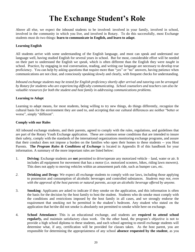# **The Exchange Student's Role**

Above all else, we expect the inbound students to be involved: involved in your family, involved in school, involved in the community in which you live, and involved in Rotary. To do this successfully, most Exchange students must do two things: **learn to communicate in English, and learn to adapt**.

#### **Learning English**

All students arrive with some understanding of the English language, and most can speak and understand our language well, having studied English for several years in school. But for most, considerable effort will be needed on their part to understand the English we *speak*, which is often different than the English they were *taught* in school. Practice, by engaging in real conversation, reading, and writing our language are necessary to develop true proficiency. You can help by asking questions that require more than "yes" or "no" answers, having patience when communications are not clear, and consciously speaking slowly and clearly, with frequent checks for understanding.

*Inbound exchange students may be tested for English proficiency shortly after arrival and tutoring can be arranged by Rotary for students who are experiencing difficulty communicating. School counselors and teachers can also be valuable resources for both the student and host family in addressing communications problems.*

#### **Learning to Adapt**

Learning to adapt means, for most students, being willing to try new things, do things differently, recognize the cultural basis for the environment they are used to, and accepting that our cultural differences are neither "better or worse", simply "different".

#### **Comply with our Rules**

All inbound exchange students, and their parents, agreed to comply with the rules, regulations, and guidelines that are part of the Rotary Youth Exchange application. These are common sense conditions that are intended to insure their safety, comply with the standards of the international organizations monitoring exchange programs, and assure that their conduct does not impose a burden on the families who open their homes to these students -- you Host Parents. **The** *Program Rules & Conditions of Exchange* is located in Appendix B of this handbook for your information. A summary of the more important rules are listed below:

- 1. **Driving**: Exchange students are **not** permitted to drive/operate any motorized vehicle land, water or air. It includes all equipment for movement that has a motor (i.e. motorized scooters, bikes, riding lawn mowers). This does not apply to moving vehicles within an amusement park ride, such as bumper cars, etc.
- *2.* **Drinking and Drugs**: We expect all exchange students to comply with our laws, including those applying to possession and consumption of alcoholic beverages and controlled substances. *Students may not, even with the approval of the host parents or natural parents, accept an alcoholic beverage offered by anyone.*
- 3. **Smoking**: Applicants are asked to indicate if they smoke on the application, and this information is often the basis for the decision by the host family to host the student. Students who do smoke must comply with the conditions and restrictions imposed by the host family in all cases, and we strongly endorse the requirement that smoking not be permitted in the student's bedroom. Any student who stated on the application that he/she did not smoke is absolutely not permitted to smoke while here on exchange.
- 4. **School Attendance**: This is an educational exchange, and students are **required to attend school regularly,** and maintain satisfactory class work. On the other hand, the program's objective is not to provide a high school diploma to these students, and each school agreeing to enroll exchange students will determine what, if any, certification will be provided for classes taken. As the host parent, you are responsible for determining the appropriateness of any school **absence requested by the student**, as you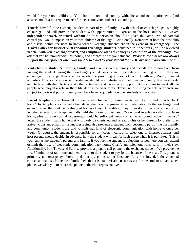would for your own children. You should know, and comply with, the attendance requirements (and absence notification requirements) for the school your student is attending.

- *5.* **Travel**: Travel for the exchange student as part of your family, or with school or church groups, is highly encouraged and will provide the student with opportunities to learn about the host country. However, **independent travel, or travel without adult supervision** should be given the same level of parental control you would impose on your own children of that age. Additionally, Rotarians at both the host club and district committee need to know where Exchange students are in the event of an emergency. The **Travel Policy for District 5020 Inbound Exchange students,** contained in Appendix C, will be reviewed in detail with your exchange student, and **compliance with this policy is a condition of the exchange**. We ask that you be familiar with this policy, and enforce it with your student. *Please know that we will always support the host parents when you say NO to travel by your student that YOU are not in agreement with.*
- 6. **Visits by the student's parents, family, and friends**: While family and friends are discouraged from visiting the student during their exchange year, it does occur. If parents are planning to visit, they are encouraged to arrange their visit for April-June providing it does not conflict with any Rotary planned activities. This is at a time when the student should be comfortable in their new community. It is least likely to interfere with their Rotary and other activities, and provides an opportunity for them to meet all the people who played a role in their life during the year away. Travel with visiting parents or friends are subject to our travel policy. Family members have no jurisdiction over students while visiting
- 7. **Use of telephone and Internet**: Students who frequently communicate with family and friends "back home" by telephone or e-mail often delay their own adjustments and adaptation to the exchange, and extend, rather than reduce, feelings of homesickness. In addition, they often do not recognize the cost of lengthy, international telephone calls until the phone bill arrives. **Occasional** telephone calls to or from home, plus calls on special occasions, should be sufficient voice contact when combined with "newsy" letters the student mails home that will likely be cherished and reread by his or her parents long after they arrive. Constant e-mail or instant messaging also prevents a student from becoming part of the host family and community. Students are told to limit that kind of electronic communication with home to once per week. Of course, the student is responsible for any costs incurred for telephone or Internet charges, and host parents should decide, in advance, how the student will pay for such usage when it is permitted. This is your call as the student's parents and family. If you feel the student is adjusting, or not, here you can extend or limit their use of electronic communication back home. Clarify any telephone rules early in their stay. Additionally, Port Townsend Sunrise provides a prepaid cell phone to the exchange student. We provide the first 30 minutes of talk time and then it is up to the student to pay for the balance of the year. This phone is primarily an emergency phone…pick me up, going to be late, etc. It is not intended for extended conversational use. If the host family feels that it is not advisable or necessary for the student to have a cell phone, we wish you to return the phone to the club representative.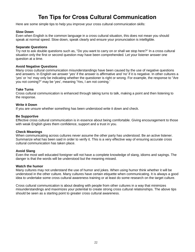### **Ten Tips for Cross Cultural Communication**

Here are some simple tips to help you improve your cross cultural communication skills:

#### **Slow Down**

Even when English is the common language in a cross cultural situation, this does not mean you should speak at normal speed. Slow down, speak clearly and ensure your pronunciation is intelligible.

#### **Separate Questions**

Try not to ask double questions such as, "Do you want to carry on or shall we stop here?" In a cross cultural situation only the first or second question may have been comprehended. Let your listener answer one question at a time.

#### **Avoid Negative Questions**

Many cross cultural communication misunderstandings have been caused by the use of negative questions and answers. In English we answer 'yes' if the answer is affirmative and 'no' if it is negative. In other cultures a 'yes' or 'no' may only be indicating whether the questioner is right or wrong. For example, the response to "Are you not coming?" may be 'yes', meaning 'Yes, I am not coming.'

#### **Take Turns**

Cross cultural communication is enhanced through taking turns to talk, making a point and then listening to the response.

#### **Write it Down**

If you are unsure whether something has been understood write it down and check.

#### **Be Supportive**

Effective cross cultural communication is in essence about being comfortable. Giving encouragement to those with weak English gives them confidence, support and a trust in you.

#### **Check Meanings**

When communicating across cultures never assume the other party has understood. Be an active listener. Summarize what has been said in order to verify it. This is a very effective way of ensuring accurate cross cultural communication has taken place.

#### **Avoid Slang**

Even the most well educated foreigner will not have a complete knowledge of slang, idioms and sayings. The danger is that the words will be understood but the meaning missed.

#### **Watch the humor**

Many cultures may not understand the use of humor and jokes. When using humor think whether it will be understood in the other culture. Many cultures have certain etiquette when communicating. It is always a good idea to undertake some cross cultural awareness training or at least do some research on the target culture.

Cross cultural communication is about dealing with people from other cultures in a way that minimizes misunderstandings and maximizes your potential to create strong cross cultural relationships. The above tips should be seen as a starting point to greater cross cultural awareness.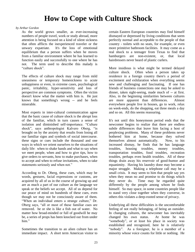## **How to Cope with Culture Shock**

#### *by Arthur Gordon*

As the world grows smaller, as ever-increasing numbers of people travel, work or study abroad, more attention is being focused on a kind of silent sickness that often afflicts the inexperienced traveler or the unwary expatriate. It's the loss of emotional equilibrium that a person suffers when he moves from a familiar environment where he has learned to function easily and successfully to one where he has not. The term used to describe this malady is "culture shock".

The effects of culture shock may range from mild uneasiness or temporary homesickness to acute unhappiness or even, in extreme cases, psychological panic, irritability, hyper-sensitivity and loss of perspective are common symptoms. Often the victim doesn't know what the matter with him is. He just knows that something's wrong -- and he feels miserable.

Most experts in inter-cultural communication agree that the basic cause of culture shock is the abrupt loss of the familiar, which in turn causes a sense of isolation and diminished self-importance. "Culture shock", says anthropologist Kalvero Oberg, "is brought on by the anxiety that results from losing all our familiar signs and symbols of social intercourse. these signs or cues include the thousand and one ways in which we orient ourselves to the situations of daily life: when to shake hands and what to say when we meet people, when and how to give tips, how to give orders to servants, how to make purchases, when to accept and when to refuse invitations, when to take statements seriously and when not."

According to Dr. Oberg, these cues, which may be words, gestures, facial expressions or customs, are acquired by all of us in the course of growing up and are as much a part of our culture as the language we speak or the beliefs we accept. All of us depend for our peace of mind on hundreds of these cues, even though we may not be consciously aware of them. "When an individual enters a strange culture," Dr. Oberg says, "all or most of these familiar cues are removed. he or she is like a fish out of water. No matter how broad-minded or full of goodwill he may be, a series of props has been knocked out from under him."

Sometimes the transition to an alien culture has an immediate impact. A short term American visitor to certain Eastern European countries may find himself dismayed or depressed by living conditions that seem perfectly normal and acceptable to the people of that country - toilets with no seats, for example, or even more primitive bathroom facilities. It may come as a real shock to a teenager from Texas to find that hamburgers are non-existent, or, that local hairdressers never heard of plastic curlers.

More insidious is what might be termed delayed culture shock. Often when a person takes up residence in a foreign country there's a period of excitement and exhilaration when everything seems new and challenging and fascinating. If one has friends of business connections one may be asked to dinner, taken sight-seeing, made much of -- at first. Also, in the beginning similarities between cultures are more apparent than differences. Almost everywhere people live in houses, go to work, relax on week-ends, do the shopping, eat three meals a day and so on. All this seems reassuring.

It's not until this honeymoon period ends that the newcomer begins to realize that there are endless subtle differences that leave him facing a host of perplexing problems. Many of these problems never bothered him at home, because they solved themselves almost automatically. Now, to his increased dismay, he finds that he has language troubles, housing troubles, money troubles, transportation troubles, food troubles, recreation troubles, perhaps even health troubles. All of these things drain away his reservoir of good-humor and equanimity. Having his laundry done may become a major struggle. Making a telephone call may be a small crisis. It may seem to him that people say yes when they mean no and promise to do things which they never do. Time may be regarded quite differently by the people among whom he finds himself. So may space, in some countries people like to stand very close together when they converse, in others this violates a deep-rooted sense of privacy.

Underlying all these difficulties is the uncomfortable feeling of not really belonging, of being an outsider. In changing cultures, the newcomer has inevitably changed his own status. At home he was "somebody", or at least his place in society was established and recognized, here he is relatively "nobody". As a foreigner, he is a member of a minority whose voice counts for little or nothing. He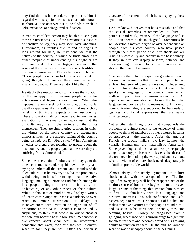may find that his homeland, so important to him, is regarded with suspicion or dismissed as unimportant. In short, as one observer put it, he finds himself in "circumstances of beleaguered self-esteem".

A mature, confident person may be able to shrug off these circumstances. But if the newcomer is insecure or sensitive or shy, they may seem over-whelming. Furthermore, as troubles pile up and he begins to look around for help, he may conclude that the natives of the country in which he finds himself are either incapable of understanding his plight or are indifferent to it. This in turn triggers the emotion that is one of the surest signs of culture shock: hostility to the new environment. The victim says to himself, "These people don't seem to know or care what I'm going though. Therefore they must be selfish, insensitive people. Therefore I don't like them."

Inevitably this reaction tends to increase the isolation of the unhappy visitor because people sense his antagonism and begin to avoid him. When this happens, he may seek out other disgruntled souls, usually expatriates like himself, and find melancholy relief in criticizing all aspects of the host country. These discussions almost never lead to any honest evaluation of the situation or awareness that the difficulty may lie in the attitude of the critics themselves. They are simply gripe-sessions in which the virtues of the home country are exaggerated almost as much as the alleged failing of the country being visited. As Dr. Oberg says, "When Americans or other foreigners get together to grouse about the host country and its people, you can be sure they are suffering from culture shock."

Sometimes the victim of culture shock may go to the other extreme, surrendering his own identity and trying to imitate all the customs and attitudes of the alien culture. Or he may try to solve the problem by withdrawing into himself, refusing to learn the native language, making no effort to find friends among the local people, taking no interest in their history, art, architecture, or any other aspect of their culture. While in this state of mind he may display a variety of unattractive symptoms. One is a tendency to overreact to minor frustrations or delays or inconveniences with irritation or anger out of all proportion to the cause. Another is to be unduly suspicious, to think that people are out to cheat or swindle him because he is a foreigner. Yet another is over-concern about cleanliness, an unwarranted conviction that water, food or dishes are unsanitary when in fact they are not. Often the person is

unaware of the extent to which he is displaying these symptoms.

He does know, however, that he is miserable and that the casual remedies recommended to him -- patience, hard work, mastery of the language and so on -- don't seem to do much good. Sometimes he will develop a marked degree of over-dependence on people from his own country who have passed through their own period of culture shock and are residing successfully and happily in the host country. If they in turn can display wisdom, patience and understanding of his symptoms, they often are able to shorten the span of his misery.

One reason the unhappy expatriate gravitates toward his own countrymen is that in their company he can at least feel sure of being understood. Underlying much of his confusion is the fact that even if he speaks the language of the country there remain endless opportunities for misunderstanding. All experts in communication emphasize the fact that language and voice are by no means our only form of communication; they are supported by hundreds of gestures and facial expressions that are easily misinterpreted.

Yet another stumbling block that compounds the problems of culture shock is the tendency of many people to think of members of other cultures in terms of stereotypes: the excitable Arabs; the amorous French; the touchy Italians; the lazy Latinos; the volatile Hungarians; the materialistic Americans. Some psychologists think that anxiety-prone people cling to stereotypes because it lessens the threat of the unknown by making the world predictable … and what the victim of culture shock needs desperately is a familiar, predictable world.

Almost always, fortunately, symptoms of culture shock subside with the passage of time. The first sign of recovery may well be the reappearance of the victim's sense of humor; he begins to smile or even laugh at some of the things that irritated him as much at first. As familiarity with local language and customs increases, his self-confidence and selfesteem begin to return. He comes out of his shell and makes tentative overtures to the people around him - and as soon as he starts being friendly, they stop seeming hostile. Slowly he progresses from a grudging acceptance of his surroundings to a genuine fondness for them and becomes proud of his growing ability to function in them. In the end, he wonders what he was so unhappy about in the beginning.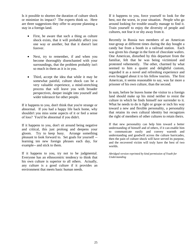Is it possible to shorten the duration of culture shock or minimize its impact? The experts think so. Here are three suggestions they offer to anyone planning a stay in a foreign land.

- First, be aware that such a thing as culture shock exists, that it will probably affect you one way or another, but that it doesn't last forever.
- Next, try to remember, if and when you become thoroughly disenchanted with your surroundings, that the problem probably isn't so much in them as it is in you.
- Third, accept the idea that while it may be somewhat painful, culture shock can be a very valuable experience, a mind-stretching process that will leave you with broader perspectives, deeper insight into yourself and wider tolerance for other people.

If it happens to you, don't think that you're strange or abnormal. If you had a happy life back home, why shouldn't you miss some aspects of it or feel a sense of loss? You'd be abnormal if you didn't.

If it happens to you, don't sit around being negative and critical, this just prolong and deepens your gloom. Try to keep busy. Arrange something pleasant to look forward to. Set goals for yourself - learning ten new foreign phrases each day, for example-- and stick to them.

If it happens to you, try not to be judgmental. Everyone has an ethnocentric tendency to think that his own culture is superior to all others. Actually, any culture is a good culture if it provides an environment that meets basic human needs.

If it happens to you, force yourself to look for the best, not the worst, in your situation. People who go around looking for trouble usually manage to find it. Train yourself to enjoy the diversity of people and cultures, not fear it or shy away from it.

Recently in Russia two members of an American tour-group at different times during the day bought a candy bar from a booth in a railroad station. Each was given his change in the form of chocolate wafers. One American, disturbed by this departure from the familiar, felt that he was being victimized and protested vehemently. The other, charmed by what seemed to him a quaint and delightful custom, regarded it as a novel and refreshing experience and even bragged about it to his fellow tourists. The first American, it seems reasonable to say, was far more a prisoner of his own culture, than the second.

In sum, before he leaves home the visitor to a foreign land should make up his mind neither to resist the culture in which he finds himself nor surrender to it. What he needs to do is fight or grope or inch his way toward a new and flexible personality, a personality that retains its own cultural identity but recognizes the right of members of other cultures to retain theirs.

If that new personality can help him toward a better understanding of himself and of others, if it can enable him to communicate easily and convey warmth and understanding and goodwill across the culture barricades, then the pain of culture shock will have served its purpose, and the recovered victim will truly have the best of two worlds.

*Abridged version reprinted by kind permission of Youth for Understanding*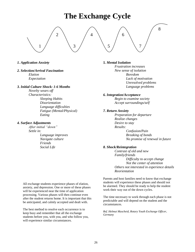## **The Exchange Cycle**



#### *1. Application Anxiety*

#### *2. Selection/Arrival Fascination Elation*

*Expectation*

#### *3. Initial Culture Shock: 1-6 Months*

*Novelty wears off Characteristics: Sleeping Habits Disorientation Language difficulties Fatigue (Mental/Physical) Eating*

#### *4. Surface Adjustments*

*After initial "down" Settle in: Language improves Navigate culture Friends Social Life*

#### *5. Mental Isolation*

*Frustration increases New sense of isolation Boredom Lack of motivation Unresolved problems Language problems*

#### *6. Integration/Acceptance*

*Begin to examine society Accept surroundings/self*

#### *7. Return Anxiety*

*Preparation for departure Realize changes Desire to stay Results: Confusion/Pain Breaking of bonds No promise of renewal in future*

#### *8. Shock/Reintegration*

*Contrast of old and new Family/friends Difficulty to accept change Not the center of attention Others not interested in experience details Reorientation*

Parents and host families need to know that exchange students will experience these phases and should not be alarmed. They should be ready to help the student work their way out of the down cycles.

The time necessary to work through each phase is not predictable and will depend on the student and the circumstances.

*Ref. Helmut Muscheid, Rotary Youth Exchange Officer, Germany*

All exchange students experience phases of elation, anxiety, and depression. One or more of these phases will be experienced near the time of application processing. Various phases will then continue even after the student returns home. It is important that this be anticipated, and calmly accepted and dealt with.

The best method to resolve each occurrence is to keep busy and remember that all the exchange students before you, with you, and who follow you, will experience similar circumstances.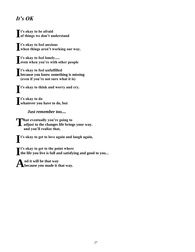### *It's OK*

**t's okay to be afraid**  It's okay to be afraid<br>
of things we don't understand

**t's okay to feel anxious when things aren't working our way. I**

**t's okay to feel lonely..... even when you're with other people I**

**t's okay to feel unfulfilled**  It's okay to feel unfulfilled<br>because you know something is missing **(even if you're not sure what it is)**

**t's okay to think and worry and cry. I**

**t's okay to do whatever you have to do, but I**

*Just remember too....*

**hat eventually you're going to**  That eventually you're going to<br>adjust to the changes life brings your way. **and you'll realize that,**

**t's okay to get to love again and laugh again, I**

**t's okay to get to the point where the life you live is full and satisfying and good to you... I**

**nd it will be that way** A nd it will be that way.<br> **A** because you made it that way.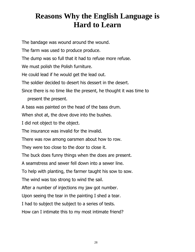# **Reasons Why the English Language is Hard to Learn**

The bandage was wound around the wound. The farm was used to produce produce. The dump was so full that it had to refuse more refuse. We must polish the Polish furniture. He could lead if he would get the lead out. The soldier decided to desert his dessert in the desert. Since there is no time like the present, he thought it was time to present the present. A bass was painted on the head of the bass drum. When shot at, the dove dove into the bushes. I did not object to the object. The insurance was invalid for the invalid. There was row among oarsmen about how to row. They were too close to the door to close it. The buck does funny things when the does are present. A seamstress and sewer fell down into a sewer line. To help with planting, the farmer taught his sow to sow. The wind was too strong to wind the sail. After a number of injections my jaw got number. Upon seeing the tear in the painting I shed a tear. I had to subject the subject to a series of tests. How can I intimate this to my most intimate friend?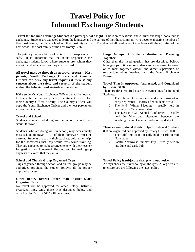# **Travel Policy for Inbound Exchange Students**

**Travel for Inbound Exchange Students is a privilege, not a right**. This is an educational and cultural exchange, not a tourist exchange. Students are expected to learn the language and the culture of their host community, to become an active member of their host family, their host school and their host city or town. Travel is not allowed when it interferes with the activities of the host school, the host family or the host Rotary Club.

The primary responsibility of Rotary is to keep students safe. It is important that the adults responsible for exchange students know where students are, whom they are with and what activities they are involved in.

**All travel must go through an approval process. Host parents, Youth Exchange Officers and Country Officers can deny any travel requests if there is any concern about the safety and security of the student and/or the behavior and attitude of the student.** 

If the student's Youth Exchange Officer cannot be located to begin the permission process, the student can contact their Country Officer directly. The Country Officer will copy the Youth Exchange Officer and the host parents on all communication.

#### **Travel and School**:

Students who are not doing well in school cannot miss school to travel.

Students, who are doing well in school, may occasionally miss school to travel. All of their homework must be current. Students are to ask their teachers, before their trip, for the homework that they would miss while traveling. They are expected to make arrangements with their teacher for getting their homework finished and for making–up any tests or exams that they miss.

#### **School and Church Group Organized Trips:**

Trips organized through school and church groups may be authorized provided the student follows all the proper approval process.

#### **Other Rotary District (other than District 5020) Organized Trips:**

No travel will be approved for other Rotary District's organized trips. Only those trips described below and organized by District 5020 will be allowed

#### **Large Groups of Students Meeting or Traveling Together:**

Other than the meetings/trips that are described below, large groups of 6 or more students are not allowed to travel or to meet together without the direct supervision of responsible adults involved with the Youth Exchange Program

#### **Travel That Is Approved, Authorized, and Organized by District 5020**

There are three required district trips/meetings for Inbound Students:

- 1. The Inbound Orientation held in late August or early September – shortly after students arrive
- 2. The Mid- Winter Meeting usually held in February on Vancouver Island
- 3. The District 5020 Annual Conference usually held in May and alternates between the Washington and Canadian sides of the district.

There are two **optional district trips** for Inbound Students that are organized and approved by Rotary District 5020:

- 1. The California Trip usually held in early to mid November
- 2. Pacific Northwest Summer Trip usually held in late June and early July

#### **Travel Policy is subject to change without notice.**

Always check the travel policy on the rye5020.org website to ensure you are following the latest policy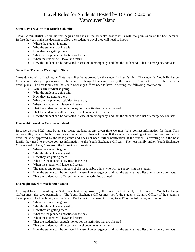### Travel Rules for Students Hosted by District 5020 on Vancouver Island

#### **Same Day Travel within British Columbia**

Travel within British Columbia that begins and ends in the student's host town is with the permission of the host parents. Before they can make the decision to allow the student to travel they will need to know:

- Where the student is going
- Who the student is going with
- How they are getting there
- What are the planned activities for the day
- When the student will leave and return
- How the student can be contacted in case of an emergency, and that the student has a list of emergency contacts.

#### **Same Day Travel to Washington State**

Same day travel to Washington State must first be approved by the student's host family. The student's Youth Exchange Officer must also give permission. The Youth Exchange Officer must notify the student's Country Officer of the student's travel plans. The host family and the Youth Exchange Officer need to have, in writing, the following information:

- **Where the student is going**
- Who the student is going with
- How they are getting there
- What are the planned activities for the day
- When the student will leave and return
- That the student has enough money for the activities that are planned
- That the student has all necessary travel documents with them
- How the student can be contacted in case of an emergency, and that the student has a list of emergency contacts.

#### **Overnight Travel on Vancouver Island**

Because district 5020 must be able to locate students at any given time we must have contact information for them. This responsibility falls to the host family and the Youth Exchange Officer. If the student is traveling without the host family this travel must be approved by the host parents and does not need further notification. If the student is traveling with the host family they need to provide contact information to the Youth Exchange Officer. The host family and/or Youth Exchange Officer need to have**,** *in writing,* the following information**:**

- Where the student is going
- Who the student is going with
- How they are getting there
- What are the planned activities for the trip
- When the student will leave and return
- The names and phone numbers of the responsible adults who will be supervising the student
- How the student can be contacted in case of an emergency, and that the student has a list of emergency contacts.
- That the student has sufficient funds for the activities planned

#### **Overnight travel to Washington State:**

Overnight travel to Washington State must first be approved by the student's host family. The student's Youth Exchange Officer must also give permission. The Youth Exchange Officer must notify the student's Country Officer of the student's travel plans. The host family and the Youth Exchange Officer need to know, *in writing***,** the following information:

- Where the student is going
- Who the student is going with
- How they are getting there
- What are the planned activities for the day
- When the student will leave and return
- That the student has enough money for the activities that are planned
- That the student has all necessary travel documents with them
- How the student can be contacted in case of an emergency, and that the student has a list of emergency contacts.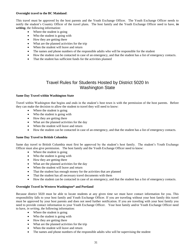#### **Overnight travel to the BC Mainland**:

This travel must be approved by the host parents and the Youth Exchange Officer. The Youth Exchange Officer needs to notify the student's Country Officer of the travel plans. The host family and the Youth Exchange Officer need to have, *in writing*, the following information:

- Where the student is going
- Who the student is going with
- How they are getting there
- What are the planned activities for the trip
- When the student will leave and return
- The names and phone numbers of the responsible adults who will be responsible for the student
- How the student can be contacted in case of an emergency, and that the student has a list of emergency contacts.
- That the student has sufficient funds for the activities planned

### Travel Rules for Students Hosted by District 5020 In Washington State

#### **Same Day Travel within Washington State**

Travel within Washington that begins and ends in the student's host town is with the permission of the host parents. Before they can make the decision to allow the student to travel they will need to know:

- Where the student is going
- Who the student is going with
- How they are getting there
- What are the planned activities for the day
- When the student will leave and return
- How the student can be contacted in case of an emergency, and that the student has a list of emergency contacts.

#### **Same Day Travel to British Columbia**

Same day travel to British Columbia must first be approved by the student's host family. The student's Youth Exchange Officer must also give permission. The host family and the Youth Exchange Officer need to know:

- Where the student is going
- Who the student is going with
- How they are getting there
- What are the planned activities for the day
- When the student will leave and return
- That the student has enough money for the activities that are planned
- That the student has all necessary travel documents with them
- How the student can be contacted in case of an emergency, and that the student has a list of emergency contacts.

#### **Overnight Travel In Western Washington\* and Portland**

Because district 5020 must be able to locate students at any given time we must have contact information for you. This responsibility falls to your host family and Youth Exchange Officer. If you are traveling without your host family this travel must be approved by your host parents and does not need further notification. If you are traveling with your host family you need to provide contact information to your Youth Exchange Officer. Your host family and/or Youth Exchange Officer need to have, *in writing,* the following information:

- Where the student is going
- Who the student is going with
- How they are getting there
- What are the planned activities for the trip
- When the student will leave and return
- The names and phone numbers of the responsible adults who will be supervising the student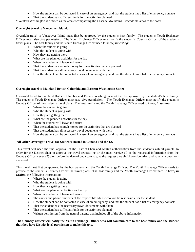- How the student can be contacted in case of an emergency, and that the student has a list of emergency contacts.
- That the student has sufficient funds for the activities planned

\* Western Washington is defined as the area encompassing the Cascade Mountains, Cascade ski areas to the coast.

#### **Overnight travel to Vancouver Island**:

Overnight travel to Vancouver Island must first be approved by the student's host family. The student's Youth Exchange Officer must also give permission. The Youth Exchange Officer must notify the student's Country Officer of the student's travel plans. The host family and the Youth Exchange Officer need to know, *in writing*:

- Where the student is going
- Who the student is going with
- How they are getting there
- What are the planned activities for the day
- When the student will leave and return
- That the student has enough money for the activities that are planned
- That the student has all necessary travel documents with them
- How the student can be contacted in case of an emergency, and that the student has a list of emergency contacts.

#### **Overnight travel to Mainland British Columbia and Eastern Washington State:**

Overnight travel to mainland British Columbia and Eastern Washington must first be approved by the student's host family. The student's Youth Exchange Officer must also give permission. The Youth Exchange Officer must notify the student's Country Officer of the student's travel plans. The host family and the Youth Exchange Officer need to know, *in writing*:

- Where the student is going
- Who the student is going with
- How they are getting there
- What are the planned activities for the day
- When the student will leave and return
- That the student has enough money for the activities that are planned
- That the student has all necessary travel documents with them
- How the student can be contacted in case of an emergency, and that the student has a list of emergency contacts.

#### **All Other Overnight Travel for Students Hosted in Canada and the US**

This travel will need the final approval of the District Chair and written authorization from the student's natural parents. In order for the District chair to approve the travel request, he or she must receive all of the requested information from the Country Officer seven (7) days before the date of departure to give the request thoughtful consideration and have any questions answered.

This travel must first be approved by the host parents and the Youth Exchange Officer. The Youth Exchange Officer needs to provide to the student's Country Officer the travel plans. The host family and the Youth Exchange Officer need to have**,** *in writing*, the following information:

- Where the student is going
- Who the student is going with
- How they are getting there
- What are the planned activities for the trip
- When the student will leave and return
- The names and phone numbers of the responsible adults who will be responsible for the student
- How the student can be contacted in case of an emergency, and that the student has a list of emergency contacts.
- That the student has the necessary travel documents with them
- That the student has sufficient funds for the activities planned
- Written permission from the natural parents that includes all of the above information

#### **The Country Officer will notify the Youth Exchange Officer who will communicate to the host family and the student that they have District level permission to make this trip.**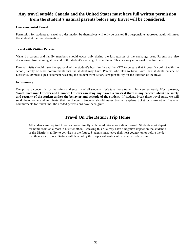### **Any travel outside Canada and the United States must have full written permission from the student's natural parents before any travel will be considered.**

#### **Unaccompanied Travel:**

Permission for students to travel to a destination by themselves will only be granted if a responsible, approved adult will meet the student at the final destination.

#### **Travel with Visiting Parents**

Visits by parents and family members should occur only during the last quarter of the exchange year. Parents are also discouraged from coming at the end of the student's exchange to visit them. This is a very emotional time for them.

Parental visits should have the approval of the student's host family and the YEO to be sure that it doesn't conflict with the school, family or other commitments that the student may have. Parents who plan to travel with their students outside of District 5020 must sign a statement releasing the student from Rotary's responsibility for the duration of the travel.

#### **In Summary:**

Our primary concern is for the safety and security of all students. We take these travel rules very seriously. **Host parents, Youth Exchange Officers and Country Officers can deny any travel requests if there is any concern about the safety and security of the student and/or the behavior and attitude of the student.** If students break these travel rules, we will send them home and terminate their exchange. Students should never buy an airplane ticket or make other financial commitments for travel until the needed permissions have been given.

#### **Travel On The Return Trip Home**

All students are required to return home directly with no additional or indirect travel. Students must depart for home from an airport in District 5020. Breaking this rule may have a negative impact on the student's or the District's ability to get visas in the future. Students must leave their host country on or before the day that their visa expires. Rotary will then notify the proper authorities of the student's departure.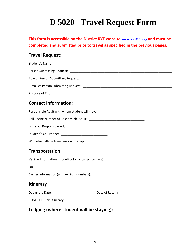# **D 5020 –Travel Request Form**

**This form is accessible on the District RYE website** www.rye5020.org **and must be completed and submitted prior to travel as specified in the previous pages.**

### **Travel Request:**

| Purpose of Trip: |  |  |
|------------------|--|--|

### **Contact Information:**

| Responsible Adult with whom student will travel: _______________________________ |  |  |
|----------------------------------------------------------------------------------|--|--|
|                                                                                  |  |  |
|                                                                                  |  |  |
| Student's Cell Phone: _____________________________                              |  |  |
| Who else with be travelling on this trip:                                        |  |  |

### **Transportation**

| Vehicle Information (model/ color of car & license #): |  |
|--------------------------------------------------------|--|
|--------------------------------------------------------|--|

OR

Carrier Information (airline/flight numbers):

### **Itinerary**

Departure Date: \_\_\_\_\_\_\_\_\_\_\_\_\_\_\_\_\_\_\_\_\_\_\_\_ Date of Return: \_\_\_\_\_\_\_\_\_\_\_\_\_\_\_\_\_\_\_\_\_\_\_\_

COMPLETE Trip Itinerary:

### **Lodging (where student will be staying):**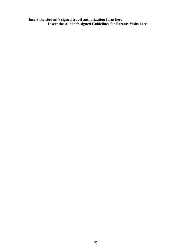**Insert the student's signed travel authorization form here Insert the student's signed Guidelines for Parents Visits here**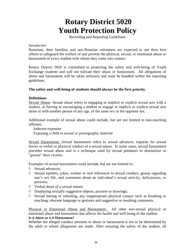# **Rotary District 5020 Youth Protection Policy**

Recording and Reporting Guidelines

#### *Introduction*

Rotarians, their families, and non-Rotarian volunteers are expected to use their best efforts to safeguard the welfare of and prevent the physical, sexual, or emotional abuse or harassment of every student with whom they come into contact.

Rotary District 5020 is committed to protecting the safety and well-being of Youth Exchange students and will not tolerate their abuse or harassment. All allegations of abuse and harassment will be taken seriously and must be handled within the reporting guidelines.

#### **The safety and well-being of students should always be the first priority.**

#### **Definitions**

Sexual Abuse: Sexual abuse refers to engaging in implicit or explicit sexual acts with a student, or forcing or encouraging a student to engage in implicit or explicit sexual acts alone or with another person of any age, of the same sex or the opposite sex.

Additional example of sexual abuse could include, but are not limited to non-touching offenses:

 Indecent exposure Exposing a child to sexual or pornographic material

Sexual Harassment: Sexual harassment refers to sexual advances, requests for sexual favors or verbal or physical conduct of a sexual nature. In some cases, sexual harassment precedes sexual abuse and is a technique used by sexual predators to desensitize or "groom" their victims.

Examples of sexual harassment could include, but are not limited to:

- $\Diamond$  Sexual advances:
- $\Diamond$  Sexual epithets, jokes, written or oral references to sexual conduct, gossip regarding one's sex life, and comments about an individual's sexual activity, deficiencies, or prowess;
- Verbal abuse of a sexual nature;
- $\Diamond$  Displaying sexually suggestive objects, pictures or drawings;
- $\Diamond$  Sexual leering or whistling, any inappropriate physical contact such as brushing or touching, obscene language or gestures and suggestive or insulting comments.

Physical or Emotional Abuse and Harassment: All other non-sexual physical or emotional abuse and harassment that affects the health and well being of the student. *Is it Abuse or is it Harassment?*

Whether the alleged conduct amounts to abuse or harassment is not to be determined by the adult to whom allegations are made. After ensuring the safety of the student, all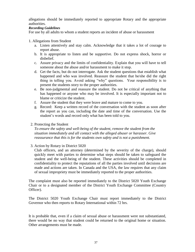allegations should be immediately reported to appropriate Rotary and the appropriate authorities.

#### *Recording Guidelines*

For use by all adults to whom a student reports an incident of abuse or harassment

- 1. Allegations from Student
	- a. Listen attentively and stay calm. Acknowledge that it takes a lot of courage to report abuse.
	- b. It is appropriate to listen and be supportive. Do not express shock, horror or disbelief.
	- c. Assure privacy and the limits of confidentiality. Explain that you will have to tell someone about the abuse and/or harassment to make it stop.
	- d. Get the facts, but do not interrogate. Ask the student questions that establish what happened and who was involved. Reassure the student that he/she did the right thing in telling you. Avoid asking "why" questions. Your responsibility is to present the students story to the proper authorities.
	- e. Be non-judgmental and reassure the student. Do not be critical of anything that has happened or anyone who may be involved. It is especially important not to blame or criticize the student.
	- f. Assure the student that they were brave and mature to come to you.
	- g. Record: Keep a written record of the conversation with the student as soon after the report as you can, including the date and time of the conversation. Use the student's words and record only what has been told to you.
- 2. Protecting the Student

*To ensure the safety and well-being of the student, remove the student from the situation immediately and all contact with the alleged abuser or harasser. Give reassurance that this is for the students own safety and is not a punishment.*

3. Action by Rotary in District 5020

Club officers, and an attorney (determined by the severity of the charge), should quickly meet with parties to determine what steps should be taken to safeguard the student and the well-being of the student. These activities should be completed in confidentiality to protect the reputations of all the parties involved until decisions are made and actions are taken. In Canada and the USA, the law requires that any claim of sexual impropriety must be immediately reported to the proper authorities.

The complaint must also be reported immediately to the District 5020 Youth Exchange Chair or to a designated member of the District Youth Exchange Committee (Country Officer).

The District 5020 Youth Exchange Chair must report immediately to the District Governor who then reports to Rotary International within 72 hrs.

It is probable that, even if a claim of sexual abuse or harassment were not substantiated, there would be no way that student could be returned to the original home or situation. Other arrangements must be made.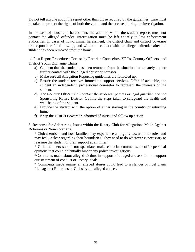Do not tell anyone about the report other than those required by the guidelines. Care must be taken to protect the rights of both the victim and the accused during the investigation.

In the case of abuse and harassment, the adult to whom the student reports must not contact the alleged offender. Interrogation must be left entirely to law enforcement authorities. In cases of non-criminal harassment, the district chair and district governor are responsible for follow-up, and will be in contact with the alleged offender after the student has been removed from the home.

4. Post Report Procedures. For use by Rotarian Counselors, YEOs, Country Officers, and District Youth Exchange Chairs.

- a) Confirm that the student has been removed from the situation immediately and no further contact with the alleged abuser or harasser.
- b) Make sure all Allegation Reporting guidelines are followed up.
- c) Ensure the student receives immediate support services. Offer, if available, the student an independent, professional counselor to represent the interests of the student.
- d) The Country Officer shall contact the students' parents or legal guardian and the Sponsoring Rotary District. Outline the steps taken to safeguard the health and well-being of the student.
- e) Provide the student with the option of either staying in the country or returning home.
- f) Keep the District Governor informed of initial and follow up action.

5. Response for Addressing Issues within the Rotary Club for Allegations Made Against Rotarians or Non-Rotarians.

\* Club members and host families may experience ambiguity toward their roles and may feel unclear regarding their boundaries. They need to do whatever is necessary to reassure the student of their support at all times.

\* Club members should not speculate, make editorial comments, or offer personal opinions that could potentially hinder any police investigations.

\*Comments made about alleged victims in support of alleged abusers do not support our statement of conduct or Rotary ideals.

\* Comments made against an alleged abuser could lead to a slander or libel claim filed against Rotarians or Clubs by the alleged abuser.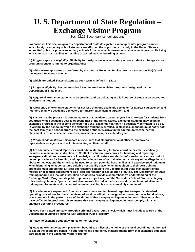## **U. S. Department of State Regulation – Exchange Visitor Program**

Sec. 62.25 Secondary school students

**(a)** *Purpose.* **This section governs Department of State designated exchange visitor programs under which foreign secondary school students are afforded the opportunity to study in the United States at accredited public or private secondary schools for an academic semester or an academic year, while living with American host families or residing at accredited U.S. boarding schools.**

**(b)** *Program sponsor eligibility.* **Eligibility for designation as a secondary school student exchange visitor program sponsor is limited to organizations:**

**(1) With tax-exempt status as conferred by the Internal Revenue Service pursuant to section 501(c)(3) of the Internal Revenue Code; and**

**(2) Which are United States citizens as such term is defined in §62.2.**

**(c)** *Program eligibility.* **Secondary school student exchange visitor programs designated by the Department of State must:**

**(1) Require all exchange students to be enrolled and participating in a full course of study at an accredited academic institution;**

**(2) Allow entry of exchange students for not less than one academic semester (or quarter equivalency) and not more than two academic semesters (or quarter equivalency) duration; and**

**(3) Ensure that the program is conducted on a U.S. academic calendar year basis, except for students from countries whose academic year is opposite that of the United States. Exchange students may begin an exchange program in the second semester of a U.S. academic year only if specifically permitted to do so, in writing, by the school in which the exchange student is enrolled. In all cases, sponsors must notify both the host family and school prior to the exchange student's arrival in the United States whether the placement is for an academic semester, an academic year, or a calendar year.**

**(d)** *Program administration.* **Sponsors must ensure that all organizational officers, employees, representatives, agents, and volunteers acting on their behalf:**

**(1) Are adequately trained. Sponsors must administer training for local coordinators that specifically includes, at a minimum, instruction in: Conflict resolution; procedures for handling and reporting emergency situations; awareness or knowledge of child safety standards; information on sexual conduct codes; procedures for handling and reporting allegations of sexual misconduct or any other allegations of abuse or neglect; and the criteria to be used to screen potential host families and exercise good judgment when identifying what constitutes suitable host family placements. In addition to their own training, sponsors must ensure that all local coordinators complete the Department of State mandated training module prior to their appointment as a local coordinator or assumption of duties. The Department of State training module will include instruction designed to provide a comprehensive understanding of the Exchange Visitor Program; its public diplomacy objectives; and the Secondary School Student category rules and regulations. Sponsors must demonstrate the individual's successful completion of all initial training requirements and that annual refresher training is also successfully completed.**

**(2) Are adequately supervised. Sponsors must create and implement organization-specific standard operating procedures for the supervision of local coordinators designed to prevent or deter fraud, abuse, or misconduct in the performance of the duties of these employees/agents/volunteers. They must also have sufficient internal controls to ensure that such employees/agents/volunteers comply with such standard operating procedures.**

**(3) Have been vetted annually through a criminal background check (which must include a search of the Department of Justice's National Sex Offender Public Registry);**

**(4) Place no exchange student with his or her relatives;**

**(5) Make no exchange student placement beyond 120 miles of the home of the local coordinator authorized to act on the sponsor's behalf in both routine and emergency matters arising from that exchange student's participation in the Exchange Visitor Program;**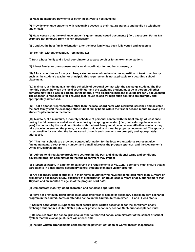**(6) Make no monetary payments or other incentives to host families;**

**(7) Provide exchange students with reasonable access to their natural parents and family by telephone and e-mail;**

**(8) Make certain that the exchange student's government issued documents (** *i.e.* **, passports, Forms DS– 2019) are not removed from his/her possession;**

**(9) Conduct the host family orientation after the host family has been fully vetted and accepted;**

**(10) Refrain, without exception, from acting as:**

**(i) Both a host family and a local coordinator or area supervisor for an exchange student;**

**(ii) A host family for one sponsor and a local coordinator for another sponsor; or**

**(iii) A local coordinator for any exchange student over whom he/she has a position of trust or authority such as the student's teacher or principal. This requirement is not applicable to a boarding school placement.**

**(11) Maintain, at minimum, a monthly schedule of personal contact with the exchange student. The first monthly contact between the local coordinator and the exchange student must be in person. All other contacts may take place in-person, on the phone, or via electronic mail and must be properly documented. The sponsor is responsible for ensuring that issues raised through such contacts are promptly and appropriately addressed.**

**(12) That a sponsor representative other than the local coordinator who recruited, screened and selected the host family visit the exchange student/host family home within the first or second month following the student's placement in the home.**

**(13) Maintain, at a minimum, a monthly schedule of personal contact with the host family. At least once during the fall semester and at least once during the spring semester, (** *i.e.* **, twice during the academic year) the contact by the local coordinator with the host family must be in person. All other contacts may take place in person, on the phone, or via electronic mail and must be properly documented. The sponsor is responsible for ensuring the issues raised through such contacts are promptly and appropriately addressed.**

**(14) That host schools are provided contact information for the local organizational representative (including name, direct phone number, and e-mail address), the program sponsor, and the Department's Office of Designation; and**

**(15) Adhere to all regulatory provisions set forth in this Part and all additional terms and conditions governing program administration that the Department may impose.**

**(e)** *Student selection.* **In addition to satisfying the requirements of §62.10(a), sponsors must ensure that all participants in a designated secondary school student exchange visitor program:**

**(1) Are secondary school students in their home countries who have not completed more than 11 years of primary and secondary study, exclusive of kindergarten; or are at least 15 years of age, but not more than 18 years and six months of age as of the program start date;**

**(2) Demonstrate maturity, good character, and scholastic aptitude; and**

**(3) Have not previously participated in an academic year or semester secondary school student exchange program in the United States or attended school in the United States in either F–1 or J–1 visa status.**

**(f)** *Student enrollment.* **(1) Sponsors must secure prior written acceptance for the enrollment of any exchange student in a United States public or private secondary school. Such prior acceptance must:**

**(i) Be secured from the school principal or other authorized school administrator of the school or school system that the exchange student will attend; and**

**(ii) Include written arrangements concerning the payment of tuition or waiver thereof if applicable.**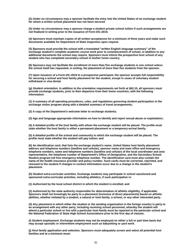**(2) Under no circumstance may a sponsor facilitate the entry into the United States of an exchange student for whom a written school placement has not been secured.**

**(3) Under no circumstance may a sponsor charge a student private school tuition if such arrangements are not finalized in writing prior to the issuance of Form DS–2019.**

**(4) Sponsors must maintain copies of all written acceptances for a minimum of three years and make such documents available for Department of State inspection upon request.**

**(5) Sponsors must provide the school with a translated "written English language summary" of the exchange student's complete academic course work prior to commencement of school, in addition to any additional documents the school may require. Sponsors must inform the prospective host school of any student who has completed secondary school in his/her home country.**

**(6) Sponsors may not facilitate the enrollment of more than five exchange students in one school unless the school itself has requested, in writing, the placement of more than five students from the sponsor.**

**(7) Upon issuance of a Form DS–2019 to a prospective participant, the sponsor accepts full responsibility for securing a school and host family placement for the student, except in cases of voluntary student withdrawal or visa denial.**

**(g)** *Student orientation.* **In addition to the orientation requirements set forth at §62.10, all sponsors must provide exchange students, prior to their departure from their home countries, with the following information:**

**(1) A summary of all operating procedures, rules, and regulations governing student participation in the exchange visitor program along with a detailed summary of travel arrangements;**

**(2) A copy of the Department's welcome letter to exchange students;**

**(3) Age and language appropriate information on how to identify and report sexual abuse or exploitation;**

**(4) A detailed profile of the host family with whom the exchange student will be placed. The profile must state whether the host family is either a permanent placement or a temporary-arrival family;**

**(5) A detailed profile of the school and community in which the exchange student will be placed. The profile must state whether the student will pay tuition; and**

**(6) An identification card, that lists the exchange student's name, United States host family placement address and telephone numbers (landline and cellular), sponsor name and main office and emergency telephone numbers, name and telephone numbers (landline and cellular) of the local coordinator and area representative, the telephone number of Department's Office of Designation, and the Secondary School Student program toll free emergency telephone number. The identification card must also contain the name of the health insurance provider and policy number. Such cards must be corrected, reprinted, and reissued to the student if changes in contact information occur due to a change in the student's placement.**

**(h)** *Student extra-curricular activities.* **Exchange students may participate in school sanctioned and sponsored extra-curricular activities, including athletics, if such participation is:**

**(1) Authorized by the local school district in which the student is enrolled; and**

**(2) Authorized by the state authority responsible for determination of athletic eligibility, if applicable. Sponsors shall not knowingly be party to a placement (inclusive of direct placements) based on athletic abilities, whether initiated by a student, a natural or host family, a school, or any other interested party.**

**(3) Any placement in which either the student or the sending organization in the foreign country is party to an arrangement with any other party, including receiving school personnel, whereby the student will attend a particular school or live with a particular host family must be reported to the particular school and the National Federation of State High School Associations prior to the first day of classes.**

**(i)** *Student employment.* **Exchange students may not be employed on either a full or part-time basis but may accept sporadic or intermittent employment such as babysitting or yard work.**

**(j)** *Host family application and selection.* **Sponsors must adequately screen and select all potential host families and at a minimum must:**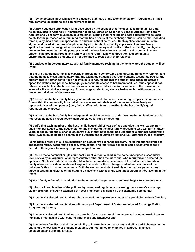**(1) Provide potential host families with a detailed summary of the Exchange Visitor Program and of their requirements, obligations and commitment to host;**

**(2) Utilize a standard application form developed by the sponsor that includes, at a minimum, all data fields provided in Appendix F, "Information to be Collected on Secondary School Student Host Family Applications". The form must include a statement stating that: "The income data collected will be used solely for the purposes of determining that the basic needs of the exchange student can be met, including three quality meals and transportation to and from school activities." Such application form must be signed and dated at the time of application by all potential host family applicants. The host family application must be designed to provide a detailed summary and profile of the host family, the physical home environment (to include photographs of the host family home's exterior and grounds, kitchen, student's bedroom, bathroom, and family or living room), family composition, and community environment. Exchange students are not permitted to reside with their relatives.**

**(3) Conduct an in-person interview with all family members residing in the home where the student will be living;**

**(4) Ensure that the host family is capable of providing a comfortable and nurturing home environment and that the home is clean and sanitary; that the exchange student's bedroom contains a separate bed for the student that is neither convertible nor inflatable in nature; and that the student has adequate storage space for clothes and personal belongings, reasonable access to bathroom facilities, study space if not otherwise available in the house and reasonable, unimpeded access to the outside of the house in the event of a fire or similar emergency. An exchange student may share a bedroom, but with no more than one other individual of the same sex.**

**(5) Ensure that the host family has a good reputation and character by securing two personal references from within the community from individuals who are not relatives of the potential host family or representatives of the sponsor (** *i.e.* **, field staff or volunteers), attesting to the host family's good reputation and character;**

**(6) Ensure that the host family has adequate financial resources to undertake hosting obligations and is not receiving needs-based government subsidies for food or housing;**

**(7) Verify that each member of the host family household 18 years of age and older, as well as any new adult member added to the household, or any member of the host family household who will turn eighteen years of age during the exchange student's stay in that household, has undergone a criminal background check (which must include a search of the Department of Justice's National Sex Offender Public Registry);**

**(8) Maintain a record of all documentation on a student's exchange program, including but not limited to application forms, background checks, evaluations, and interviews, for all selected host families for a period of three years following program completion; and**

**(9) Ensure that a potential single adult host parent without a child in the home undergoes a secondary level review by an organizational representative other than the individual who recruited and selected the applicant. Such secondary review should include demonstrated evidence of the individual's friends or family who can provide an additional support network for the exchange student and evidence of the individual's ties to his/her community. Both the exchange student and his or her natural parents must agree in writing in advance of the student's placement with a single adult host parent without a child in the home.**

**(k)** *Host family orientation.* **In addition to the orientation requirements set forth in §62.10, sponsors must:**

**(1) Inform all host families of the philosophy, rules, and regulations governing the sponsor's exchange visitor program, including examples of "best practices" developed by the exchange community;**

**(2) Provide all selected host families with a copy of the Department's letter of appreciation to host families;**

**(3) Provide all selected host families with a copy of Department of State-promulgated Exchange Visitor Program regulations;**

**(4) Advise all selected host families of strategies for cross-cultural interaction and conduct workshops to familiarize host families with cultural differences and practices; and**

**(5) Advise host families of their responsibility to inform the sponsor of any and all material changes in the status of the host family or student, including, but not limited to, changes in address, finances, employment and criminal arrests.**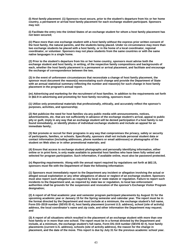**(l)** *Host family placement.* **(1) Sponsors must secure, prior to the student's departure from his or her home country, a permanent or arrival host family placement for each exchange student participant. Sponsors may not:**

**(i) Facilitate the entry into the United States of an exchange student for whom a host family placement has not been secured;**

**(ii) Place more than one exchange student with a host family without the express prior written consent of the host family, the natural parents, and the students being placed. Under no circumstance may more than two exchange students be placed with a host family, or in the home of a local coordinator, regional coordinator, or volunteer. Sponsors may not place students from the same countries or with the same native languages in a single home.**

**(2) Prior to the student's departure from his or her home country, sponsors must advise both the exchange student and host family, in writing, of the respective family compositions and backgrounds of each, whether the host family placement is a permanent or arrival placement, and facilitate and encourage the exchange of correspondence between the two.**

**(3) In the event of unforeseen circumstances that necessitate a change of host family placement, the sponsor must document the reason(s) necessitating such change and provide the Department of State with an annual statistical summary reflecting the number and reason(s) for such change in host family placement in the program's annual report.**

**(m)** *Advertising and marketing for the recruitment of host families.* **In addition to the requirements set forth in §62.9 in advertising and promoting for host family recruiting, sponsors must:**

**(1) Utilize only promotional materials that professionally, ethically, and accurately reflect the sponsor's purposes, activities, and sponsorship;**

**(2) Not publicize the need for host families via any public media with announcements, notices, advertisements, etc. that are not sufficiently in advance of the exchange student's arrival, appeal to public pity or guilt, imply in any way that an exchange student will be denied participation if a host family is not found immediately, or identify photos of individual exchange students and include an appeal for an immediate family;**

**(3) Not promote or recruit for their programs in any way that compromises the privacy, safety or security of participants, families, or schools. Specifically, sponsors shall not include personal student data or contact information (including addresses, phone numbers or email addresses) or photographs of the student on Web sites or in other promotional materials; and**

**(4) Ensure that access to exchange student photographs and personally identifying information, either online or in print form, is only made available to potential host families who have been fully vetted and selected for program participation. Such information, if available online, must also be password protected.**

**(n)** *Reporting requirements.* **Along with the annual report required by regulations set forth at §62.15, sponsors must file with the Department of State the following information:**

**(1) Sponsors must immediately report to the Department any incident or allegation involving the actual or alleged sexual exploitation or any other allegations of abuse or neglect of an exchange student. Sponsors must also report such allegations as required by local or state statute or regulation. Failure to report such incidents to the Department and, as required by state law or regulation, to local law enforcement authorities shall be grounds for the suspension and revocation of the sponsor's Exchange Visitor Program designation;**

**(2) A report of all final academic year and semester program participant placements by August 31 for the upcoming academic year or January 15 for the Spring semester and calendar year. The report must be in the format directed by the Department and must include at a minimum, the exchange student's full name,**  Form DS-2019 number (SEVIS ID #), host family placement (current U.S. address), school (site of activity) **address, the local coordinator's name and zip code, and other information the Department may request; and**

**(3) A report of all situations which resulted in the placement of an exchange student with more than one host family or in more than one school. The report must be in a format directed by the Department and include, at a minimum, the exchange student's full name, Form DS–019 number (SEVIS ID #), host family placements (current U.S. address), schools (site of activity address), the reason for the change in placement, and the date of the move. This report is due by July 31 for the previous academic school year.**